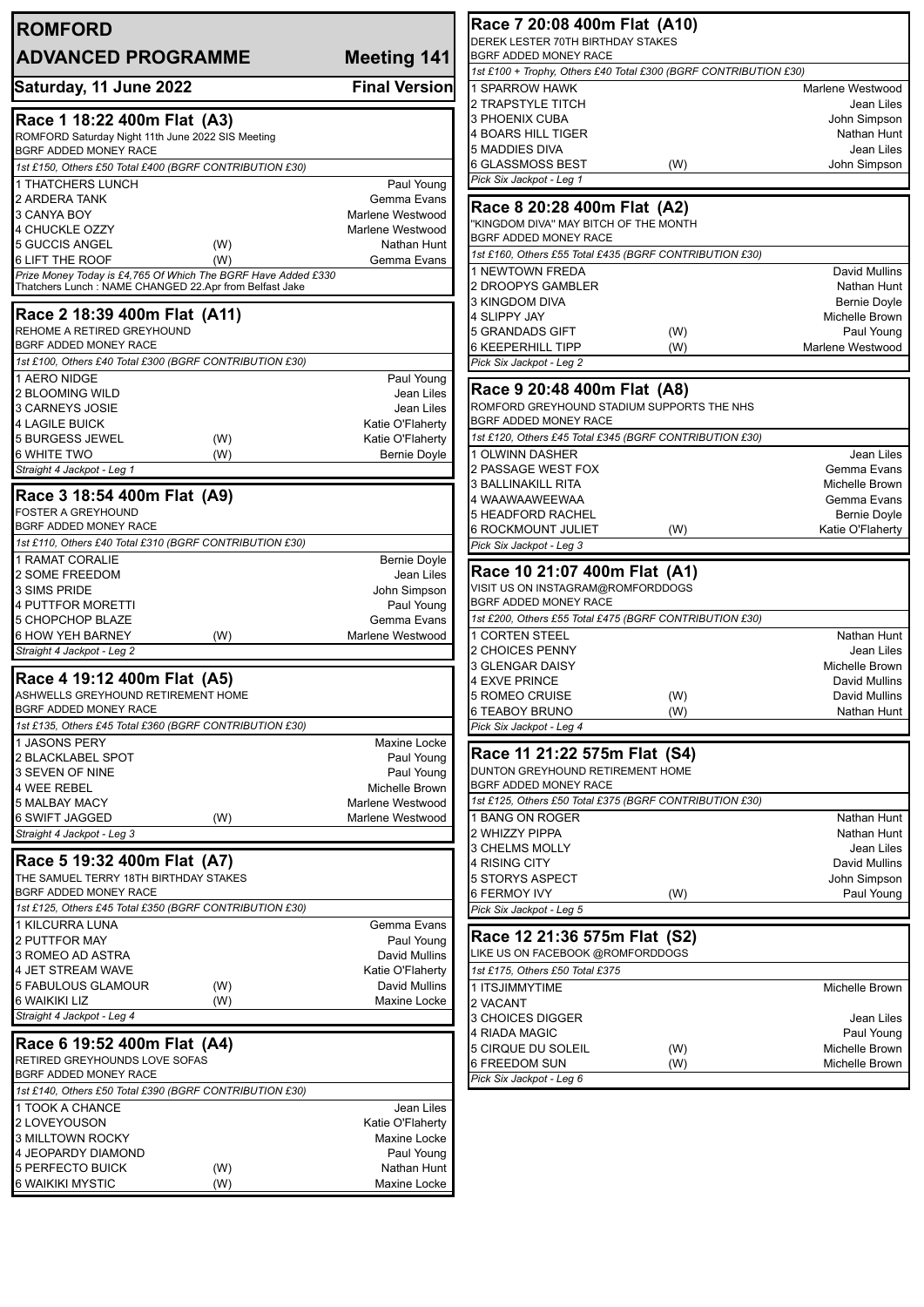| <b>ROMFORD</b>                                                                |                                         | Race 7 20:08 400m Flat (A10)                                               |                                         |
|-------------------------------------------------------------------------------|-----------------------------------------|----------------------------------------------------------------------------|-----------------------------------------|
| <b>ADVANCED PROGRAMME</b>                                                     | Meeting 141                             | DEREK LESTER 70TH BIRTHDAY STAKES<br>BGRF ADDED MONEY RACE                 |                                         |
|                                                                               | <b>Final Version</b>                    | 1st £100 + Trophy, Others £40 Total £300 (BGRF CONTRIBUTION £30)           |                                         |
| Saturday, 11 June 2022                                                        |                                         | 1 SPARROW HAWK<br>2 TRAPSTYLE TITCH                                        | Marlene Westwood<br>Jean Liles          |
| Race 1 18:22 400m Flat (A3)                                                   |                                         | 3 PHOENIX CUBA                                                             | John Simpson                            |
| ROMFORD Saturday Night 11th June 2022 SIS Meeting                             |                                         | 4 BOARS HILL TIGER                                                         | Nathan Hunt                             |
| BGRF ADDED MONEY RACE                                                         |                                         | 5 MADDIES DIVA<br>6 GLASSMOSS BEST<br>(W)                                  | Jean Liles<br>John Simpson              |
| 1st £150, Others £50 Total £400 (BGRF CONTRIBUTION £30)<br>1 THATCHERS LUNCH  | Paul Young                              | Pick Six Jackpot - Leg 1                                                   |                                         |
| 2 ARDERA TANK                                                                 | Gemma Evans                             |                                                                            |                                         |
| 3 CANYA BOY                                                                   | Marlene Westwood                        | Race 8 20:28 400m Flat (A2)<br>"KINGDOM DIVA" MAY BITCH OF THE MONTH       |                                         |
| 4 CHUCKLE OZZY                                                                | Marlene Westwood                        | BGRF ADDED MONEY RACE                                                      |                                         |
| 5 GUCCIS ANGEL<br>(W)<br>6 LIFT THE ROOF<br>(W)                               | Nathan Hunt<br>Gemma Evans              | 1st £160, Others £55 Total £435 (BGRF CONTRIBUTION £30)                    |                                         |
| Prize Money Today is £4,765 Of Which The BGRF Have Added £330                 |                                         | 1 NEWTOWN FREDA                                                            | David Mullins                           |
| Thatchers Lunch: NAME CHANGED 22.Apr from Belfast Jake                        |                                         | 2 DROOPYS GAMBLER<br>3 KINGDOM DIVA                                        | Nathan Hunt                             |
| Race 2 18:39 400m Flat (A11)                                                  |                                         | 4 SLIPPY JAY                                                               | Bernie Doyle<br>Michelle Brown          |
| REHOME A RETIRED GREYHOUND                                                    |                                         | 5 GRANDADS GIFT<br>(W)                                                     | Paul Young                              |
| BGRF ADDED MONEY RACE                                                         |                                         | 6 KEEPERHILL TIPP<br>(W)                                                   | Marlene Westwood                        |
| 1st £100, Others £40 Total £300 (BGRF CONTRIBUTION £30)<br>1 AERO NIDGE       | Paul Young                              | Pick Six Jackpot - Leg 2                                                   |                                         |
| <b>2 BLOOMING WILD</b>                                                        | Jean Liles                              | Race 9 20:48 400m Flat (A8)                                                |                                         |
| 3 CARNEYS JOSIE                                                               | Jean Liles                              | ROMFORD GREYHOUND STADIUM SUPPORTS THE NHS                                 |                                         |
| <b>4 LAGILE BUICK</b>                                                         | Katie O'Flaherty                        | BGRF ADDED MONEY RACE                                                      |                                         |
| 5 BURGESS JEWEL<br>(W)<br><b>6 WHITE TWO</b><br>(W)                           | Katie O'Flaherty<br><b>Bernie Doyle</b> | 1st £120, Others £45 Total £345 (BGRF CONTRIBUTION £30)<br>1 OLWINN DASHER | Jean Liles                              |
| Straight 4 Jackpot - Leg 1                                                    |                                         | 2 PASSAGE WEST FOX                                                         | Gemma Evans                             |
|                                                                               |                                         | 3 BALLINAKILL RITA                                                         | Michelle Brown                          |
| Race 3 18:54 400m Flat (A9)<br><b>FOSTER A GREYHOUND</b>                      |                                         | 4 WAAWAAWEEWAA                                                             | Gemma Evans                             |
| BGRF ADDED MONEY RACE                                                         |                                         | 5 HEADFORD RACHEL<br><b>6 ROCKMOUNT JULIET</b><br>(W)                      | <b>Bernie Doyle</b><br>Katie O'Flaherty |
| 1st £110, Others £40 Total £310 (BGRF CONTRIBUTION £30)                       |                                         | Pick Six Jackpot - Leg 3                                                   |                                         |
| 1 RAMAT CORALIE                                                               | <b>Bernie Doyle</b>                     |                                                                            |                                         |
| 2 SOME FREEDOM                                                                | Jean Liles                              | Race 10 21:07 400m Flat (A1)<br>VISIT US ON INSTAGRAM@ROMFORDDOGS          |                                         |
| 3 SIMS PRIDE<br>4 PUTTFOR MORETTI                                             | John Simpson<br>Paul Young              | BGRF ADDED MONEY RACE                                                      |                                         |
| 5 CHOPCHOP BLAZE                                                              | Gemma Evans                             | 1st £200, Others £55 Total £475 (BGRF CONTRIBUTION £30)                    |                                         |
| <b>6 HOW YEH BARNEY</b><br>(W)                                                | Marlene Westwood                        | <b>1 CORTEN STEEL</b>                                                      | Nathan Hunt                             |
| Straight 4 Jackpot - Leg 2                                                    |                                         | 2 CHOICES PENNY<br>3 GLENGAR DAISY                                         | Jean Liles<br>Michelle Brown            |
| Race 4 19:12 400m Flat (A5)                                                   |                                         | 4 EXVE PRINCE                                                              | David Mullins                           |
| ASHWELLS GREYHOUND RETIREMENT HOME                                            |                                         | <b>5 ROMEO CRUISE</b><br>(W)                                               | <b>David Mullins</b>                    |
| BGRF ADDED MONEY RACE                                                         |                                         | 6 TEABOY BRUNO<br>(W)                                                      | Nathan Hunt                             |
| 1st £135, Others £45 Total £360 (BGRF CONTRIBUTION £30)<br><b>JASONS PERY</b> | Maxine Locke                            | Pick Six Jackpot - Leg 4                                                   |                                         |
| 2 BLACKLABEL SPOT                                                             | Paul Young                              | Race 11 21:22 575m Flat (S4)                                               |                                         |
| 3 SEVEN OF NINE                                                               | Paul Young                              | DUNTON GREYHOUND RETIREMENT HOME                                           |                                         |
| 4 WEE REBEL                                                                   | Michelle Brown                          | BGRF ADDED MONEY RACE                                                      |                                         |
| <b>5 MALBAY MACY</b><br><b>6 SWIFT JAGGED</b><br>(W)                          | Marlene Westwood<br>Marlene Westwood    | 1st £125, Others £50 Total £375 (BGRF CONTRIBUTION £30)<br>1 BANG ON ROGER | Nathan Hunt                             |
| Straight 4 Jackpot - Leg 3                                                    |                                         | 2 WHIZZY PIPPA                                                             | Nathan Hunt                             |
|                                                                               |                                         | 3 CHELMS MOLLY                                                             | Jean Liles                              |
| Race 5 19:32 400m Flat (A7)<br>THE SAMUEL TERRY 18TH BIRTHDAY STAKES          |                                         | 4 RISING CITY                                                              | David Mullins                           |
| BGRF ADDED MONEY RACE                                                         |                                         | 5 STORYS ASPECT<br>6 FERMOY IVY<br>(W)                                     | John Simpson<br>Paul Young              |
| 1st £125, Others £45 Total £350 (BGRF CONTRIBUTION £30)                       |                                         | Pick Six Jackpot - Leg 5                                                   |                                         |
| 1 KILCURRA LUNA                                                               | Gemma Evans                             |                                                                            |                                         |
| 2 PUTTFOR MAY                                                                 | Paul Young                              | Race 12 21:36 575m Flat (S2)<br>LIKE US ON FACEBOOK @ROMFORDDOGS           |                                         |
| 3 ROMEO AD ASTRA<br>4 JET STREAM WAVE                                         | David Mullins<br>Katie O'Flaherty       | 1st £175, Others £50 Total £375                                            |                                         |
| <b>5 FABULOUS GLAMOUR</b><br>(W)                                              | David Mullins                           | 1 ITSJIMMYTIME                                                             | Michelle Brown                          |
| 6 WAIKIKI LIZ<br>(W)                                                          | Maxine Locke                            | 2 VACANT                                                                   |                                         |
| Straight 4 Jackpot - Leg 4                                                    |                                         | 3 CHOICES DIGGER                                                           | Jean Liles                              |
| Race 6 19:52 400m Flat (A4)                                                   |                                         | 4 RIADA MAGIC<br>5 CIRQUE DU SOLEIL<br>(W)                                 | Paul Young<br>Michelle Brown            |
| RETIRED GREYHOUNDS LOVE SOFAS                                                 |                                         | 6 FREEDOM SUN<br>(W)                                                       | Michelle Brown                          |
| BGRF ADDED MONEY RACE                                                         |                                         | Pick Six Jackpot - Leg 6                                                   |                                         |
| 1st £140, Others £50 Total £390 (BGRF CONTRIBUTION £30)                       |                                         |                                                                            |                                         |
| 1 TOOK A CHANCE<br>2 LOVEYOUSON                                               | Jean Liles<br>Katie O'Flaherty          |                                                                            |                                         |
| 3 MILLTOWN ROCKY                                                              | Maxine Locke                            |                                                                            |                                         |
| 4 JEOPARDY DIAMOND                                                            | Paul Young                              |                                                                            |                                         |
| 5 PERFECTO BUICK<br>(W)                                                       | Nathan Hunt                             |                                                                            |                                         |
| 6 WAIKIKI MYSTIC<br>(W)                                                       | Maxine Locke                            |                                                                            |                                         |

 $\vec{\bar{}}$ 

┪

」<br>]